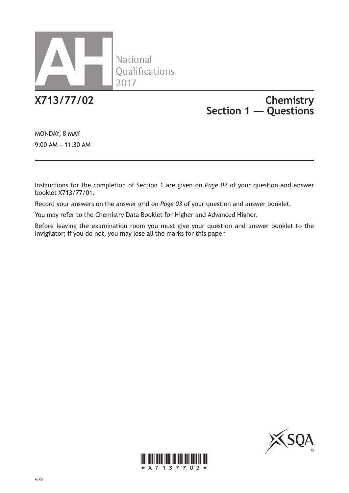

National<br>Qualifications

# **X713/77/02 Chemistry Section 1 — Questions**

MONDAY, 8 MAY 9:00 AM – 11:30 AM

Instructions for the completion of Section 1 are given on *Page 02* of your question and answer booklet X713/77/01.

Record your answers on the answer grid on *Page 03* of your question and answer booklet.

You may refer to the Chemistry Data Booklet for Higher and Advanced Higher.

Before leaving the examination room you must give your question and answer booklet to the Invigilator; if you do not, you may lose all the marks for this paper.



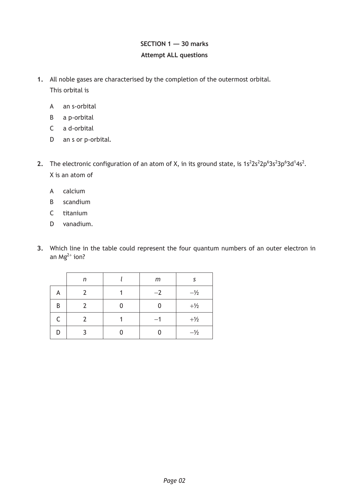# **SECTION 1 — 30 marks Attempt ALL questions**

- **1.** All noble gases are characterised by the completion of the outermost orbital. This orbital is
	- A an s-orbital
	- B a p-orbital
	- C a d-orbital
	- D an s or p-orbital.
- 2. The electronic configuration of an atom of X, in its ground state, is  $1s^22s^22p^63s^23p^63d^14s^2$ . X is an atom of
	- A calcium
	- B scandium
	- C titanium
	- D vanadium.
- **3.** Which line in the table could represent the four quantum numbers of an outer electron in an Mg $^{2+}$  ion?

|    | n | m    |                |
|----|---|------|----------------|
| A  |   | $-2$ | $-\frac{1}{2}$ |
| B  |   |      | $+1/2$         |
| C. |   | $-1$ | $+1/2$         |
| D  |   |      | $-\frac{1}{2}$ |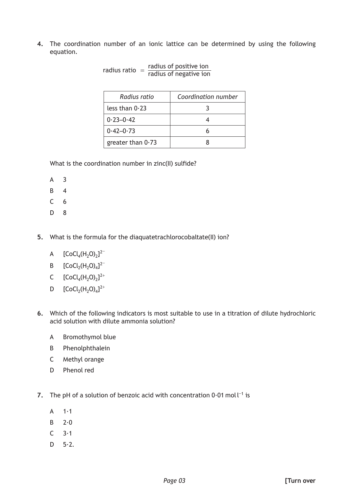**4.** The coordination number of an ionic lattice can be determined by using the following equation.

| radius of positive ion<br>radius ratio<br>radius of negative ion |                     |  |  |  |
|------------------------------------------------------------------|---------------------|--|--|--|
| Radius ratio                                                     | Coordination number |  |  |  |
| less than $0.23$                                                 |                     |  |  |  |
| $0.23 - 0.42$                                                    |                     |  |  |  |
| $0.42 - 0.73$                                                    |                     |  |  |  |
| greater than $0.73$                                              |                     |  |  |  |

What is the coordination number in zinc(II) sulfide?

- A 3
- B 4
- C 6
- D 8
- **5.** What is the formula for the diaquatetrachlorocobaltate(II) ion?
	- A  $[CoCl_4(H_2O)_2]^{2-}$
	- B  $[CoCl_2(H_2O)_4]^{2-}$
	- C  $[CoCl_4(H_2O)_2]^{2+}$
	- D  $[CoCl_2(H_2O)_4]^{2+}$
- **6.** Which of the following indicators is most suitable to use in a titration of dilute hydrochloric acid solution with dilute ammonia solution?
	- A Bromothymol blue
	- B Phenolphthalein
	- C Methyl orange
	- D Phenol red
- **7.** The pH of a solution of benzoic acid with concentration  $0.01$  moll<sup>-1</sup> is
	- $A = 1.1$
	- $B = 2.0$
	- $C = 3.1$
	- $D$  5 $\cdot$ 2.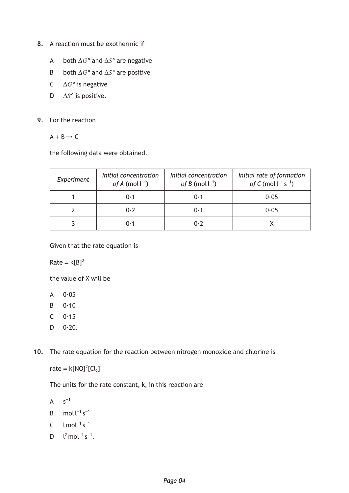- **8.** A reaction must be exothermic if
	- A both ∆*G*° and ∆*S*° are negative
	- B both ∆*G*° and ∆*S*° are positive
	- C ∆*G*° is negative
	- D ∆*S*° is positive.
- **9.** For the reaction
	- $A + B \rightarrow C$

the following data were obtained.

| Experiment | Initial concentration<br>of A (mol $l^{-1}$ ) | Initial concentration<br>of B (mol $\lfloor^{-1}$ ) | Initial rate of formation<br>of C (mol $l^{-1}$ s <sup>-1</sup> ) |
|------------|-----------------------------------------------|-----------------------------------------------------|-------------------------------------------------------------------|
|            | 0.1                                           | 0.1                                                 | 0.05                                                              |
|            | 0.7                                           | 0·1                                                 | 0.05                                                              |
|            | ი. 1                                          | 0.7                                                 |                                                                   |

Given that the rate equation is

 $Rate = k[B]^2$ 

the value of X will be

- $A \qquad 0.05$
- B 0·10
- $C = 0.15$
- $D \ 0.20.$

**10.** The rate equation for the reaction between nitrogen monoxide and chlorine is

rate =  $k[NO]^2[Cl_2]$ 

The units for the rate constant, k, in this reaction are

 $A$   $S^{-1}$ 

- B mol $l^{-1}$  s<sup>-1</sup>
- C  $1 \text{ mol}^{-1} \text{ s}^{-1}$
- D  $\lfloor^2$  mol<sup>-2</sup> s<sup>-1</sup>.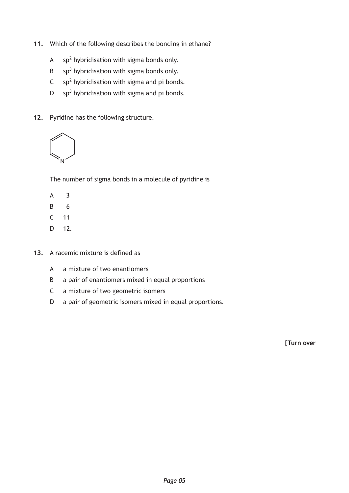- **11.** Which of the following describes the bonding in ethane?
	- A  $sp<sup>2</sup>$  hybridisation with sigma bonds only.
	- $B$  sp<sup>3</sup> hybridisation with sigma bonds only.
	- $C$  sp<sup>2</sup> hybridisation with sigma and pi bonds.
	- D  $sp<sup>3</sup>$  hybridisation with sigma and pi bonds.
- **12.** Pyridine has the following structure.



The number of sigma bonds in a molecule of pyridine is

- A 3
- B 6
- C 11
- D 12.
- **13.** A racemic mixture is defined as
	- A a mixture of two enantiomers
	- B a pair of enantiomers mixed in equal proportions
	- C a mixture of two geometric isomers
	- D a pair of geometric isomers mixed in equal proportions.

**[Turn over**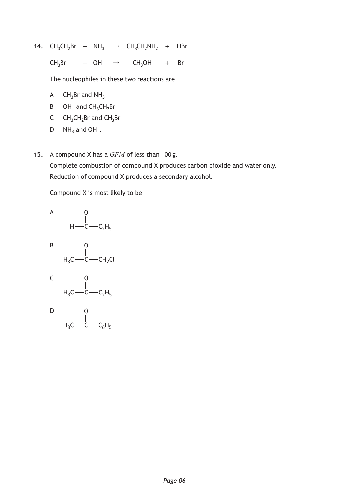**14.** CH<sub>3</sub>CH<sub>2</sub>Br +  $NH_3$   $\rightarrow$  CH<sub>3</sub>CH<sub>2</sub>NH<sub>2</sub> + HBr

 $CH_3Br$  + OH<sup>-</sup> → CH<sub>3</sub>OH + Br<sup>-</sup>

The nucleophiles in these two reactions are

- A  $CH_3Br$  and  $NH_3$
- B  $OH^-$  and  $CH_3CH_2Br$
- C  $CH_3CH_2Br$  and  $CH_3Br$
- D  $NH_3$  and OH<sup>-</sup>.
- **15.** A compound X has a *GFM* of less than 100 g.

Complete combustion of compound X produces carbon dioxide and water only. Reduction of compound X produces a secondary alcohol.

Compound X is most likely to be

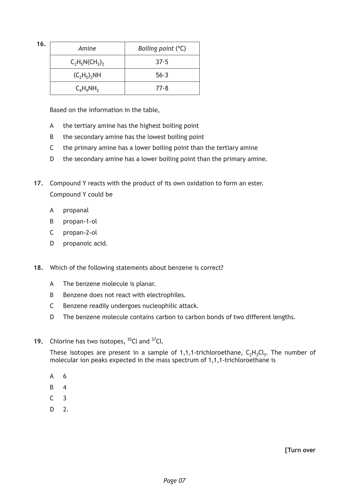| 16. | Amine           | Boiling point $(°C)$ |
|-----|-----------------|----------------------|
|     | $C_2H_5N(CH_3)$ | 37.5                 |
|     | $(C_2H_5)_2NH$  | 56.3                 |
|     | $C_4H_9NH_2$    | 77.8                 |

Based on the information in the table,

- A the tertiary amine has the highest boiling point
- B the secondary amine has the lowest boiling point
- C the primary amine has a lower boiling point than the tertiary amine
- D the secondary amine has a lower boiling point than the primary amine.
- **17.** Compound Y reacts with the product of its own oxidation to form an ester. Compound Y could be
	- A propanal
	- B propan-1-ol
	- C propan-2-ol
	- D propanoic acid.
- **18.** Which of the following statements about benzene is correct?
	- A The benzene molecule is planar.
	- B Benzene does not react with electrophiles.
	- C Benzene readily undergoes nucleophilic attack.
	- D The benzene molecule contains carbon to carbon bonds of two different lengths.
- **19.** Chlorine has two isotopes, 35Cl and 37Cl.

These isotopes are present in a sample of 1,1,1-trichloroethane,  $C_2H_3Cl_3$ . The number of molecular ion peaks expected in the mass spectrum of 1,1,1-trichloroethane is

- A 6
- B 4
- $C<sub>3</sub>$
- D 2.

**[Turn over**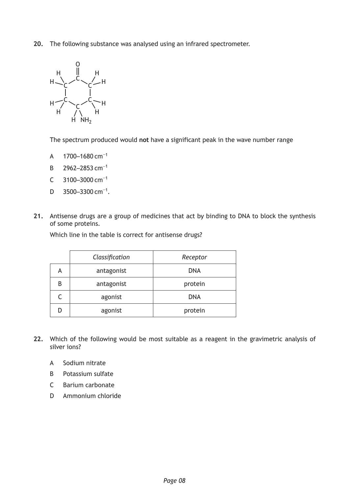**20.** The following substance was analysed using an infrared spectrometer.



The spectrum produced would **not** have a significant peak in the wave number range

- A 1700–1680 cm<sup>-1</sup>
- B 2962–2853 cm<sup>-1</sup>
- C 3100–3000 cm<sup>-1</sup>
- D 3500–3300 cm<sup>-1</sup>.
- **21.** Antisense drugs are a group of medicines that act by binding to DNA to block the synthesis of some proteins.

Which line in the table is correct for antisense drugs?

|   | Classification | Receptor   |
|---|----------------|------------|
| А | antagonist     | <b>DNA</b> |
| B | antagonist     | protein    |
|   | agonist        | <b>DNA</b> |
|   | agonist        | protein    |

- **22.** Which of the following would be most suitable as a reagent in the gravimetric analysis of silver ions?
	- A Sodium nitrate
	- B Potassium sulfate
	- C Barium carbonate
	- D Ammonium chloride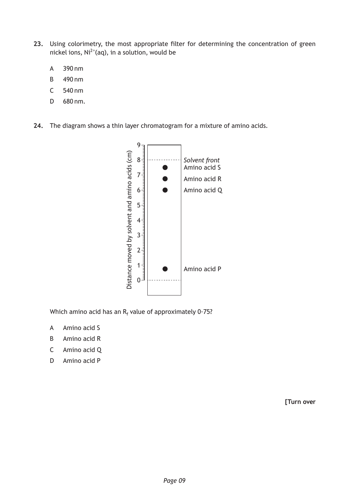- **23.** Using colorimetry, the most appropriate filter for determining the concentration of green nickel ions,  $\text{Ni}^{2+}$ (aq), in a solution, would be
	- A 390 nm
	- B 490 nm
	- C 540 nm
	- D 680 nm.
- **24.** The diagram shows a thin layer chromatogram for a mixture of amino acids.



Which amino acid has an R<sub>f</sub> value of approximately 0∙75?

- A Amino acid S
- B Amino acid R
- C Amino acid Q
- D Amino acid P

**[Turn over**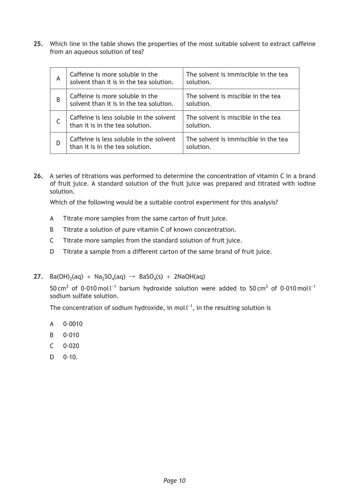**25.** Which line in the table shows the properties of the most suitable solvent to extract caffeine from an aqueous solution of tea?

| A | Caffeine is more soluble in the<br>solvent than it is in the tea solution. | The solvent is immiscible in the tea<br>solution. |
|---|----------------------------------------------------------------------------|---------------------------------------------------|
| B | Caffeine is more soluble in the<br>solvent than it is in the tea solution. | The solvent is miscible in the tea<br>solution.   |
|   | Caffeine is less soluble in the solvent<br>than it is in the tea solution. | The solvent is miscible in the tea<br>solution.   |
| D | Caffeine is less soluble in the solvent<br>than it is in the tea solution. | The solvent is immiscible in the tea<br>solution. |

**26.** A series of titrations was performed to determine the concentration of vitamin C in a brand of fruit juice. A standard solution of the fruit juice was prepared and titrated with iodine solution.

Which of the following would be a suitable control experiment for this analysis?

- A Titrate more samples from the same carton of fruit juice.
- B Titrate a solution of pure vitamin C of known concentration.
- C Titrate more samples from the standard solution of fruit juice.
- D Titrate a sample from a different carton of the same brand of fruit juice.
- **27.** Ba(OH)<sub>2</sub>(aq) + Na<sub>2</sub>SO<sub>4</sub>(aq)  $\rightarrow$  BaSO<sub>4</sub>(s) + 2NaOH(aq)

50 cm<sup>3</sup> of 0·010 moll<sup>-1</sup> barium hydroxide solution were added to 50 cm<sup>3</sup> of 0·010 moll<sup>-1</sup> sodium sulfate solution.

The concentration of sodium hydroxide, in mol  $L^{-1}$ , in the resulting solution is

- A 0·0010
- B 0·010
- $C = 0.020$
- $D = 0.10$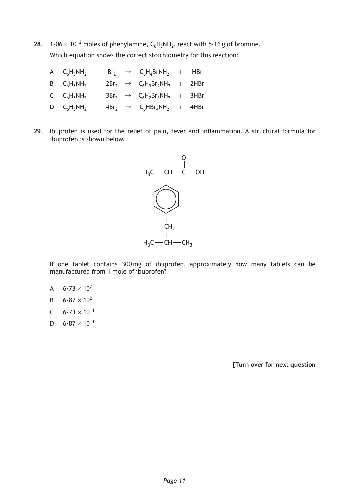**28.**  $1·06 × 10<sup>−2</sup>$  moles of phenylamine,  $C_6H_5NH_2$ , react with  $5·16$  g of bromine. Which equation shows the correct stoichiometry for this reaction?

|  |  | A $C_6H_5NH_2$ + Br <sub>2</sub> $\rightarrow$ $C_6H_4BrNH_2$ + HBr     |  |
|--|--|-------------------------------------------------------------------------|--|
|  |  | B $C_6H_5NH_2$ + 2Br <sub>2</sub> $\rightarrow$ $C_6H_3Br_2NH_2$ + 2HBr |  |
|  |  | C $C_6H_5NH_2$ + $3Br_2$ $\rightarrow$ $C_6H_2Br_3NH_2$ + $3HBr$        |  |
|  |  | D $C_6H_5NH_2$ + 4Br <sub>2</sub> $\rightarrow$ $C_6HBr_4NH_2$ + 4HBr   |  |

**29.** Ibuprofen is used for the relief of pain, fever and inflammation. A structural formula for ibuprofen is shown below.



If one tablet contains 300 mg of ibuprofen, approximately how many tablets can be manufactured from 1 mole of ibuprofen?

- A  $6.73 \times 10^{2}$
- B  $6.87 \times 10^{2}$
- C  $6.73 \times 10^{-1}$
- D  $6.87 \times 10^{-1}$

**[Turn over for next question**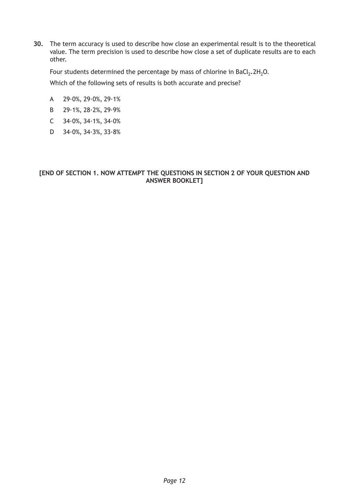**30.** The term accuracy is used to describe how close an experimental result is to the theoretical value. The term precision is used to describe how close a set of duplicate results are to each other.

Four students determined the percentage by mass of chlorine in  $BaCl_2$ .  $2H_2O$ . Which of the following sets of results is both accurate and precise?

- A 29·0%, 29·0%, 29·1%
- B 29·1%, 28·2%, 29·9%
- C 34·0%, 34·1%, 34·0%
- D 34·0%, 34·3%, 33·8%

### **[END OF SECTION 1. NOW ATTEMPT THE QUESTIONS IN SECTION 2 OF YOUR QUESTION AND ANSWER BOOKLET]**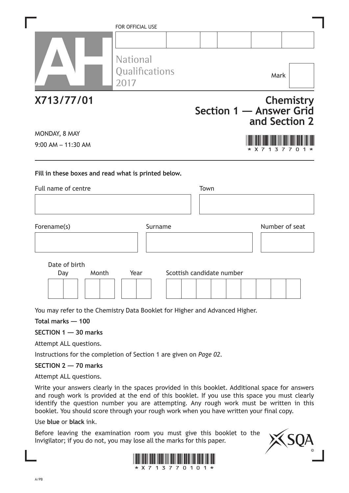|                                                                            | FOR OFFICIAL USE<br><b>National</b><br>Qualifications<br>2017 |      | Mark                                     |                  |
|----------------------------------------------------------------------------|---------------------------------------------------------------|------|------------------------------------------|------------------|
| X713/77/01                                                                 |                                                               |      | Section 1 - Answer Grid<br>and Section 2 | <b>Chemistry</b> |
| MONDAY, 8 MAY<br>$9:00$ AM $- 11:30$ AM                                    |                                                               |      | * X 7                                    | 7                |
|                                                                            |                                                               |      |                                          |                  |
| Fill in these boxes and read what is printed below.<br>Full name of centre |                                                               | Town |                                          |                  |
| Forename(s)                                                                | Surname                                                       |      | Number of seat                           |                  |

You may refer to the Chemistry Data Booklet for Higher and Advanced Higher.

**Total marks — 100**

#### **SECTION 1 — 30 marks**

Attempt ALL questions.

Instructions for the completion of Section 1 are given on *Page 02*.

#### **SECTION 2 — 70 marks**

Attempt ALL questions.

Write your answers clearly in the spaces provided in this booklet. Additional space for answers and rough work is provided at the end of this booklet. If you use this space you must clearly identify the question number you are attempting. Any rough work must be written in this booklet. You should score through your rough work when you have written your final copy.

Use **blue** or **black** ink.

Before leaving the examination room you must give this booklet to the Invigilator; if you do not, you may lose all the marks for this paper.



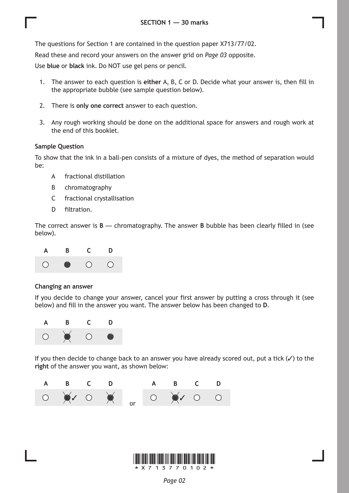The questions for Section 1 are contained in the question paper X713/77/02.

Read these and record your answers on the answer grid on *Page 03* opposite.

Use **blue** or **black** ink. Do NOT use gel pens or pencil.

- 1. The answer to each question is **either** A, B, C or D. Decide what your answer is, then fill in the appropriate bubble (see sample question below).
- 2. There is **only one correct** answer to each question.
- 3. Any rough working should be done on the additional space for answers and rough work at the end of this booklet.

#### **Sample Question**

To show that the ink in a ball-pen consists of a mixture of dyes, the method of separation would be:

- A fractional distillation
- B chromatography
- C fractional crystallisation
- D filtration.

The correct answer is **B** — chromatography. The answer **B** bubble has been clearly filled in (see below).



#### **Changing an answer**

If you decide to change your answer, cancel your first answer by putting a cross through it (see below) and fill in the answer you want. The answer below has been changed to **D**.



If you then decide to change back to an answer you have already scored out, put a tick  $(\checkmark)$  to the **right** of the answer you want, as shown below:



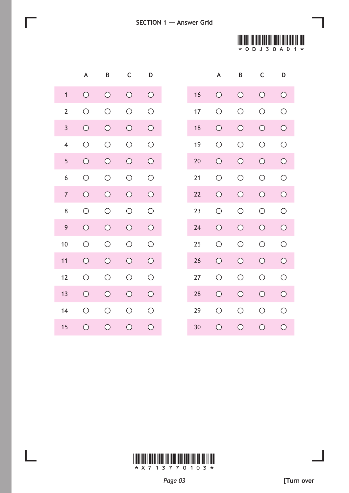



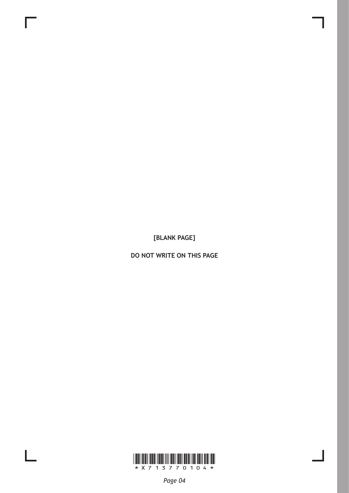**[BLANK PAGE]**

**DO NOT WRITE ON THIS PAGE**



L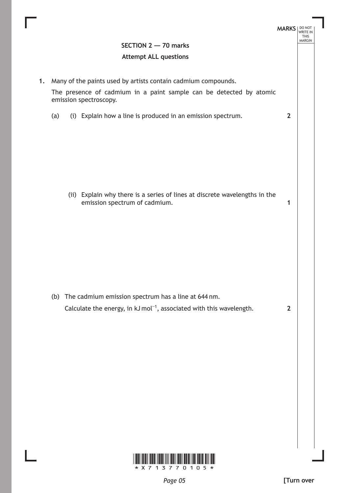

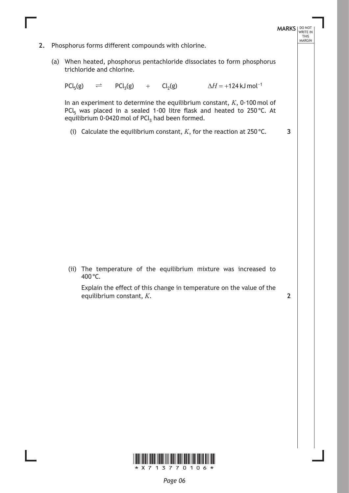**MARKS** NO NOT THIS<br>MARGIN **2.** Phosphorus forms different compounds with chlorine. (a) When heated, phosphorus pentachloride dissociates to form phosphorus trichloride and chlorine.  $PCl_5(g)$   $\Rightarrow$   $PCl_3(g)$  +  $Cl_2(g)$   $\Delta H = +124 \text{ kJ} \text{ mol}^{-1}$ In an experiment to determine the equilibrium constant, *K*, 0∙100 mol of PCl<sub>5</sub> was placed in a sealed 1∙00 litre flask and heated to 250 °C. At equilibrium 0∙0420 mol of PCl<sub>3</sub> had been formed. (i) Calculate the equilibrium constant,  $K$ , for the reaction at 250 °C. (ii) The temperature of the equilibrium mixture was increased to 400 °C. Explain the effect of this change in temperature on the value of the equilibrium constant, *K*. **3 2**

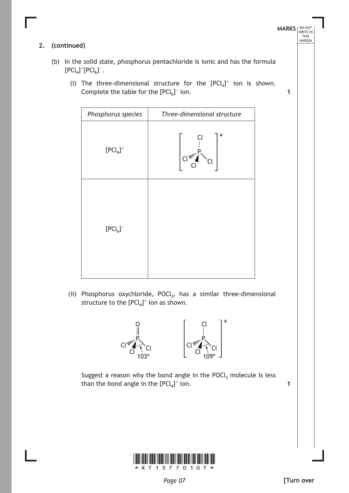## **2. (continued)**

- (b) In the solid state, phosphorus pentachloride is ionic and has the formula  $[PCl_4]$ <sup>+</sup> $[PCl_6]$ <sup>-</sup>.
	- (i) The three-dimensional structure for the  $[PCl_4]^+$  ion is shown. Complete the table for the  $[PCl_6]^-$  ion.

| Phosphorus species | Three-dimensional structure |
|--------------------|-----------------------------|
| $[PCl_4]^+$        | +<br>Cl<br>C(ww')           |
| $[PCl_6]^-$        |                             |

(ii) Phosphorus oxychloride, POCl<sub>3</sub>, has a similar three-dimensional structure to the  $[PCl_4]^+$  ion as shown.



Suggest a reason why the bond angle in the POCl<sub>3</sub> molecule is less than the bond angle in the  $[\mathsf{P}\mathsf{Cl}_4]^+$  ion.



**MARKS** NO NOT

**1**

THIS<br>MARGIN

*Page 07*

**1**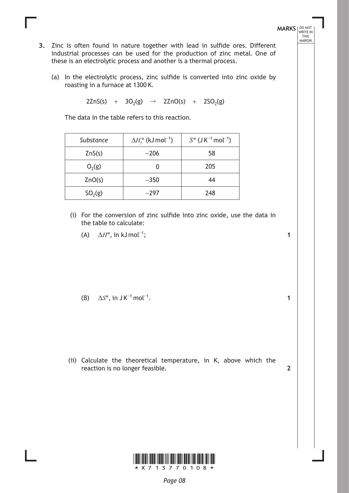- **3.** Zinc is often found in nature together with lead in sulfide ores. Different industrial processes can be used for the production of zinc metal. One of these is an electrolytic process and another is a thermal process.
	- (a) In the electrolytic process, zinc sulfide is converted into zinc oxide by roasting in a furnace at 1300 K.

 $2ZnS(s)$  +  $3O_2(g)$   $\rightarrow$   $2ZnO(s)$  +  $2SO_2(g)$ 

The data in the table refers to this reaction.

| Substance | $\Delta H_f^{\circ}$ (kJ mol <sup>-1</sup> ) | $S^{\circ}$ (J K <sup>-1</sup> mol <sup>-1</sup> ) |
|-----------|----------------------------------------------|----------------------------------------------------|
| ZnS(s)    | $-206$                                       | 58                                                 |
| $O_2(g)$  |                                              | 205                                                |
| ZnO(s)    | $-350$                                       | 44                                                 |
| $SO_2(g)$ | $-297$                                       | 248                                                |

- (i) For the conversion of zinc sulfide into zinc oxide, use the data in the table to calculate:
	- (A)  $\Delta H^{\circ}$ , in kJ mol<sup>-1</sup>;

(B)  $\Delta S^{\circ}$ , in JK<sup>-1</sup> mol<sup>-1</sup>.

(ii) Calculate the theoretical temperature, in K, above which the reaction is no longer feasible.



**1**

**1**

**MARKS** NO NOT

THIS<br>MARGIN

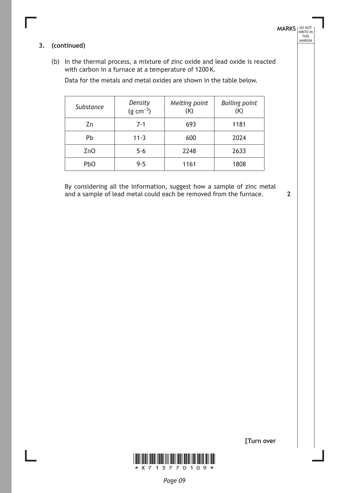#### **3. (continued)**

(b) In the thermal process, a mixture of zinc oxide and lead oxide is reacted with carbon in a furnace at a temperature of 1200 K.

Data for the metals and metal oxides are shown in the table below.

| Substance | Density<br>$(g cm^{-3})$ | Melting point<br>(K) | <b>Boiling point</b><br>(K) |
|-----------|--------------------------|----------------------|-----------------------------|
| Zn        | 7.1                      | 693                  | 1181                        |
| Pb        | $11-3$                   | 600                  | 2024                        |
| ZnO       | 5.6                      | 2248                 | 2633                        |
| PbO       | 9.5                      | 1161                 | 1808                        |

By considering all the information, suggest how a sample of zinc metal and a sample of lead metal could each be removed from the furnace.

**2**

**[Turn over**

**MARKS** NO NOT

THIS<br>MARGIN

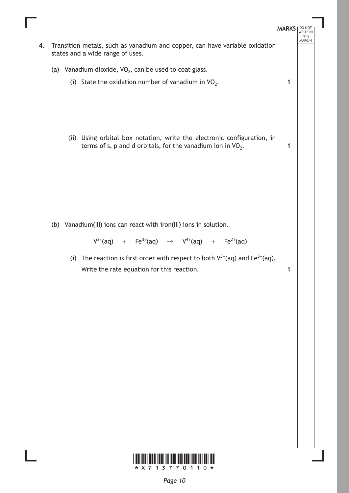

\*X713770110\*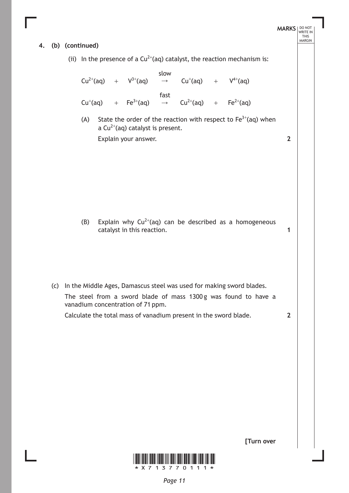# **MARKS** NO NOT THIS<br>MARGIN **4. (b) (continued)** (ii) In the presence of a  $Cu^{2+}(aq)$  catalyst, the reaction mechanism is:  $Cu^{2+}(aq)$  +  $V^{3+}$  $V^{3+}$ (aq) slow  $\rightarrow$  Cu<sup>+</sup>(aq) + V<sup>4+</sup>  $V^{4+}$ (aq)  $Cu^+(aq)$ (aq) +  $Fe^{3+}(aq)$ fast  $\rightarrow$  Cu<sup>2+</sup>(aq) + Fe<sup>2+</sup>  $Fe<sup>2+</sup>(aq)$ (A) State the order of the reaction with respect to  $Fe^{3+}(aq)$  when a Cu<sup>2+</sup>(aq) catalyst is present. Explain your answer. (B) Explain why  $Cu^{2+}(aq)$  can be described as a homogeneous catalyst in this reaction. (c) In the Middle Ages, Damascus steel was used for making sword blades. The steel from a sword blade of mass 1300 g was found to have a vanadium concentration of 71 ppm. Calculate the total mass of vanadium present in the sword blade. **2 1 2**



**[Turn over**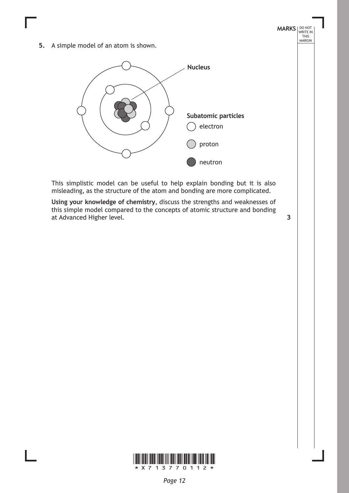**5.** A simple model of an atom is shown.



This simplistic model can be useful to help explain bonding but it is also misleading, as the structure of the atom and bonding are more complicated.

**Using your knowledge of chemistry**, discuss the strengths and weaknesses of this simple model compared to the concepts of atomic structure and bonding at Advanced Higher level. **3**

**MARKS** NO NOT

THIS<br>MARGIN

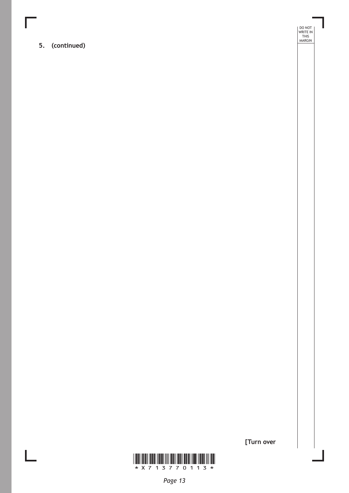**5. (continued)**

DO NOT WRITE IN THIS MARGIN



**[Turn over**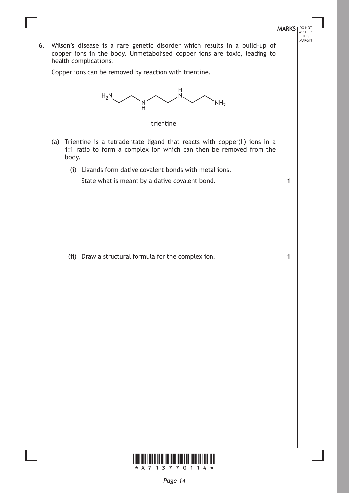**6.** Wilson's disease is a rare genetic disorder which results in a build-up of copper ions in the body. Unmetabolised copper ions are toxic, leading to health complications.

**MARKS** NO NOT

**1**

**1**

THIS<br>MARGIN

Copper ions can be removed by reaction with trientine.





- (a) Trientine is a tetradentate ligand that reacts with copper(II) ions in a 1:1 ratio to form a complex ion which can then be removed from the body.
	- (i) Ligands form dative covalent bonds with metal ions.

State what is meant by a dative covalent bond.

(ii) Draw a structural formula for the complex ion.

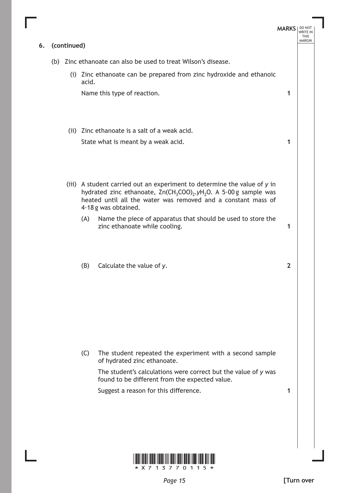|    |             |                                                                                                                                                                                                                                                             | <b>MARKS</b>   | DO NOT<br><b>WRITE IN</b><br><b>THIS</b><br><b>MARGIN</b> |
|----|-------------|-------------------------------------------------------------------------------------------------------------------------------------------------------------------------------------------------------------------------------------------------------------|----------------|-----------------------------------------------------------|
| 6. | (continued) |                                                                                                                                                                                                                                                             |                |                                                           |
|    |             | (b) Zinc ethanoate can also be used to treat Wilson's disease.                                                                                                                                                                                              |                |                                                           |
|    |             | (i) Zinc ethanoate can be prepared from zinc hydroxide and ethanoic<br>acid.                                                                                                                                                                                |                |                                                           |
|    |             | Name this type of reaction.                                                                                                                                                                                                                                 | 1              |                                                           |
|    |             | (ii) Zinc ethanoate is a salt of a weak acid.                                                                                                                                                                                                               |                |                                                           |
|    |             | State what is meant by a weak acid.                                                                                                                                                                                                                         | 1              |                                                           |
|    |             | (iii) A student carried out an experiment to determine the value of y in<br>hydrated zinc ethanoate, $Zn(CH_3COO)_2. yH_2O$ . A 5.00 g sample was<br>heated until all the water was removed and a constant mass of<br>4.18 g was obtained.                  |                |                                                           |
|    |             | Name the piece of apparatus that should be used to store the<br>(A)<br>zinc ethanoate while cooling.                                                                                                                                                        | 1              |                                                           |
|    |             | Calculate the value of y.<br>(B)                                                                                                                                                                                                                            | $\overline{2}$ |                                                           |
|    |             | The student repeated the experiment with a second sample<br>(C)<br>of hydrated zinc ethanoate.<br>The student's calculations were correct but the value of y was<br>found to be different from the expected value.<br>Suggest a reason for this difference. | 1              |                                                           |
|    |             |                                                                                                                                                                                                                                                             |                |                                                           |

Г

Ľ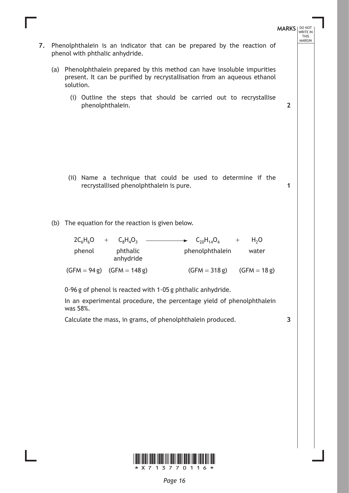

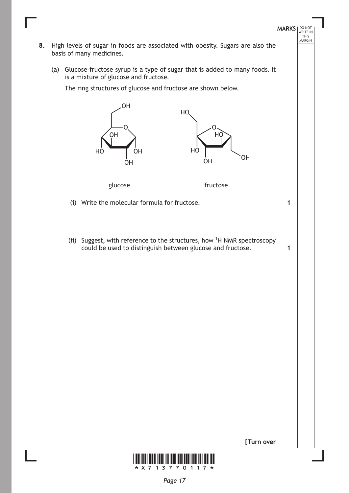

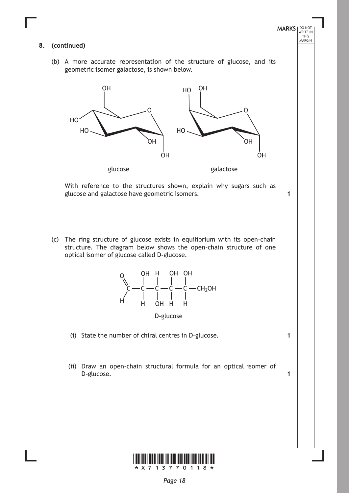#### **8. (continued)**

(b) A more accurate representation of the structure of glucose, and its geometric isomer galactose, is shown below.

**MARKS** NO NOT

**1**

**1**

**1**

THIS<br>MARGIN



With reference to the structures shown, explain why sugars such as glucose and galactose have geometric isomers.

(c) The ring structure of glucose exists in equilibrium with its open-chain structure. The diagram below shows the open-chain structure of one optical isomer of glucose called D-glucose.





(ii) Draw an open-chain structural formula for an optical isomer of D-glucose.

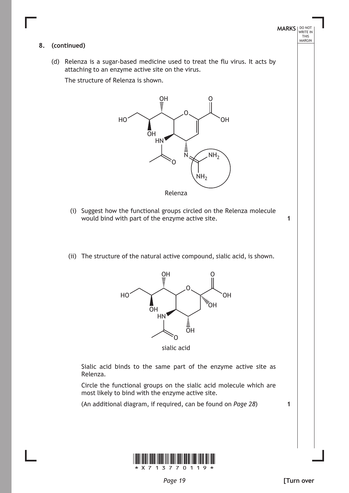#### **8. (continued)**

(d) Relenza is a sugar-based medicine used to treat the flu virus. It acts by attaching to an enzyme active site on the virus.

The structure of Relenza is shown.



- (i) Suggest how the functional groups circled on the Relenza molecule would bind with part of the enzyme active site.
- (ii) The structure of the natural active compound, sialic acid, is shown.



sialic acid

Sialic acid binds to the same part of the enzyme active site as Relenza.

Circle the functional groups on the sialic acid molecule which are most likely to bind with the enzyme active site.

(An additional diagram, if required, can be found on *Page 28*)

**1**

**1**

**MARKS** NO NOT

THIS<br>MARGIN

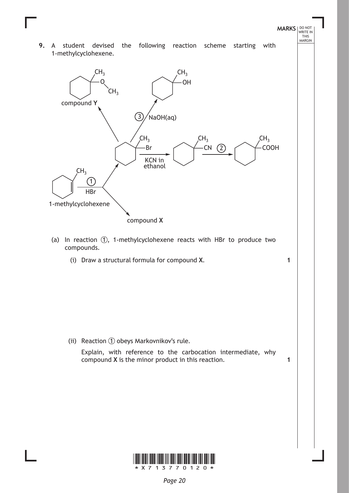**9.** A student devised the following reaction scheme starting with 1-methylcyclohexene.

**MARKS** NO NOT

**1**

**1**

THIS<br>MARGIN



- (a) In reaction  $(1)$ , 1-methylcyclohexene reacts with HBr to produce two compounds.
	- (i) Draw a structural formula for compound **X**.

(ii) Reaction  $\bigcirc$  obeys Markovnikov's rule. Explain, with reference to the carbocation intermediate, why compound **X** is the minor product in this reaction.

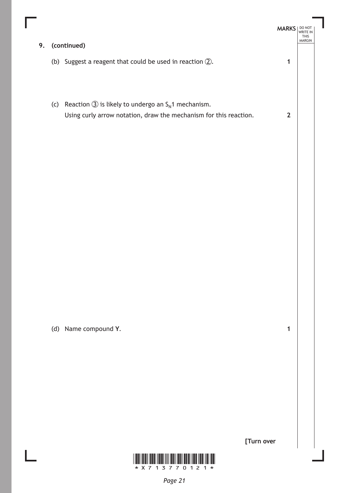| 9. |     | (continued)                                                                                                                                     | <b>MARKS</b> | THIS<br><b>MARGIN</b> |
|----|-----|-------------------------------------------------------------------------------------------------------------------------------------------------|--------------|-----------------------|
|    |     | (b) Suggest a reagent that could be used in reaction $(2)$ .                                                                                    |              |                       |
|    | (c) | Reaction $\circled{3}$ is likely to undergo an S <sub>N</sub> 1 mechanism.<br>Using curly arrow notation, draw the mechanism for this reaction. | $\mathbf{2}$ |                       |

(d) Name compound **Y**.

I

**[Turn over**

**1**

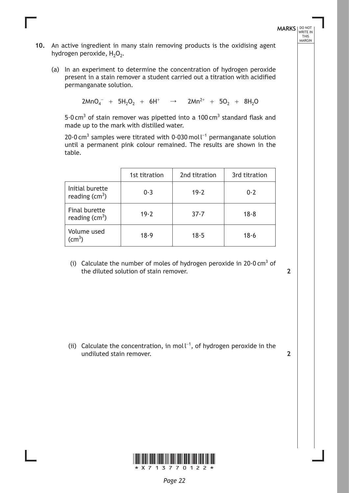**MARKS** NO NOT THIS<br>MARGIN

- **10.** An active ingredient in many stain removing products is the oxidising agent hydrogen peroxide,  $H_2O_2$ .
	- (a) In an experiment to determine the concentration of hydrogen peroxide present in a stain remover a student carried out a titration with acidified permanganate solution.

 $2MnO_4^- + 5H_2O_2 + 6H^+ \rightarrow 2Mn^{2+} + 5O_2 + 8H_2O$ 

5 $\cdot$ 0 cm<sup>3</sup> of stain remover was pipetted into a 100 cm<sup>3</sup> standard flask and made up to the mark with distilled water.

20 $\cdot$ 0 cm<sup>3</sup> samples were titrated with 0 $\cdot$ 030 mol l<sup>-1</sup> permanganate solution until a permanent pink colour remained. The results are shown in the table.

|                                       | 1st titration | 2nd titration | 3rd titration |
|---------------------------------------|---------------|---------------|---------------|
| Initial burette<br>reading $(cm^3)$   | 0.3           | 19.2          | 0.2           |
| Final burette<br>reading $(cm3)$      | 19.2          | $37 - 7$      | 18.8          |
| Volume used<br>$\text{(cm}^3\text{)}$ | 18.9          | 18.5          | 18.6          |

(i) Calculate the number of moles of hydrogen peroxide in 20 $0$  cm<sup>3</sup> of the diluted solution of stain remover.

**2**

**2**

(ii) Calculate the concentration, in moll<sup>-1</sup>, of hydrogen peroxide in the undiluted stain remover.

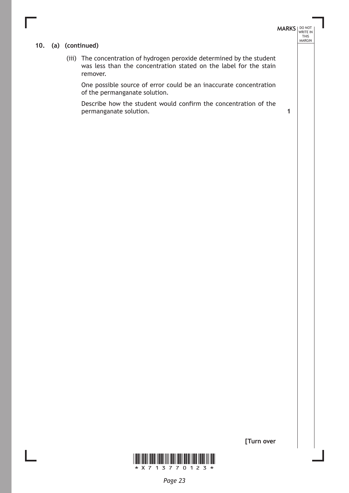# **MARKS** NO NOT THIS<br>MARGIN

**1**

## **10. (a) (continued)**

(iii) The concentration of hydrogen peroxide determined by the student was less than the concentration stated on the label for the stain remover.

One possible source of error could be an inaccurate concentration of the permanganate solution.

Describe how the student would confirm the concentration of the permanganate solution.



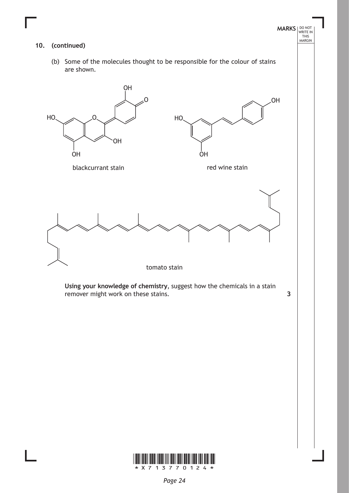

**Using your knowledge of chemistry**, suggest how the chemicals in a stain remover might work on these stains. **3**

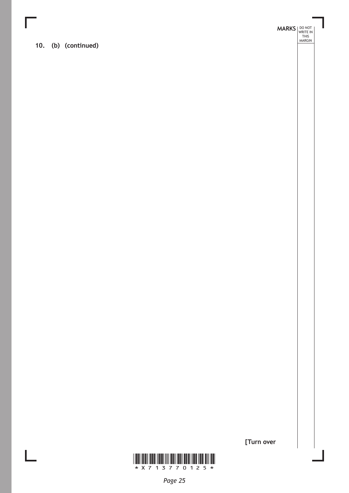**10. (b) (continued)**

**MARKS DO NOT
WRITE IN** <br>
THIS
MARGIN



**[Turn over**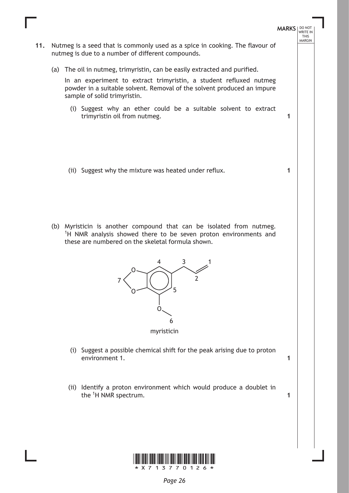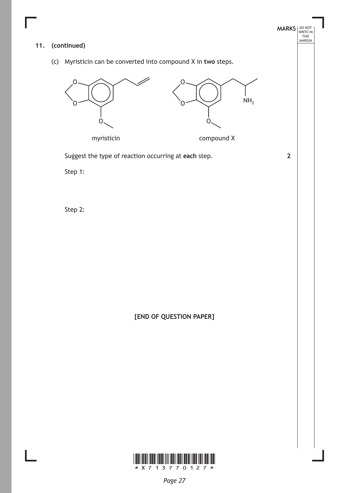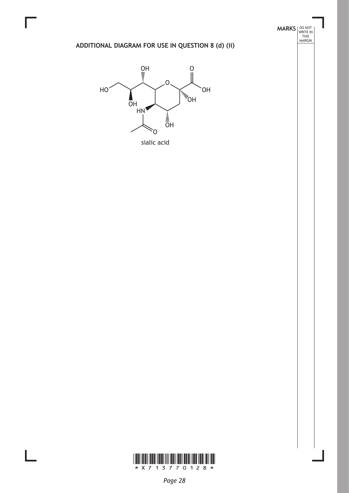# **ADDITIONAL DIAGRAM FOR USE IN QUESTION 8 (d) (ii)**

**MARKS DO NOT
WRITE IN** <br>
THIS
MARGIN



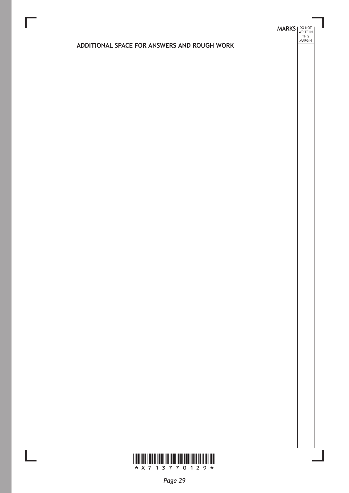# **MARKS DO NOT
WRITE IN** <br>
THIS
MARGIN

## **ADDITIONAL SPACE FOR ANSWERS AND ROUGH WORK**

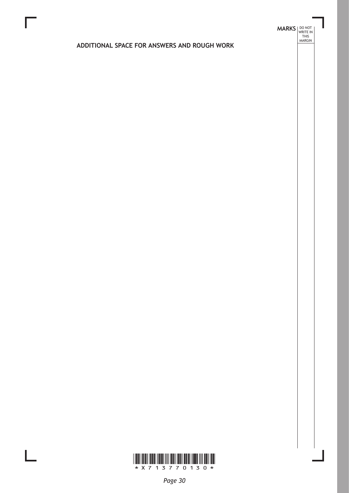# **MARKS DO NOT
WRITE IN** <br>
THIS
MARGIN

# **ADDITIONAL SPACE FOR ANSWERS AND ROUGH WORK**

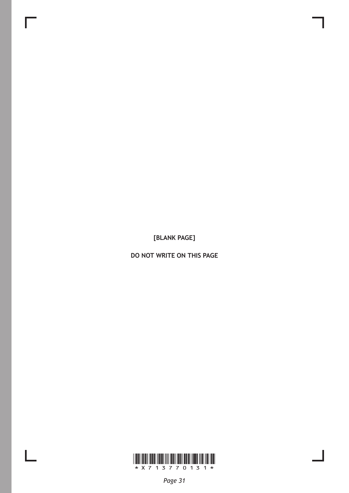**[BLANK PAGE]**

Г

 $\mathbb{L}$ 

**DO NOT WRITE ON THIS PAGE**